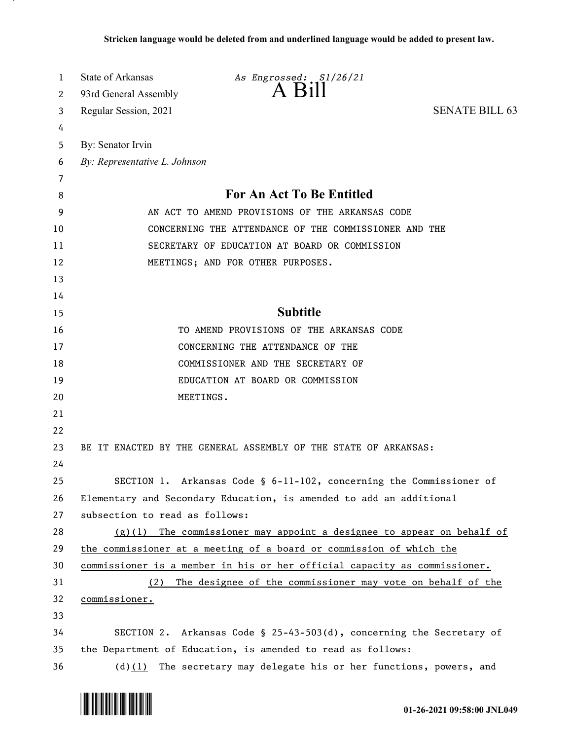| 1  | State of Arkansas                                                         | As Engrossed: S1/26/21                                                  |                       |  |
|----|---------------------------------------------------------------------------|-------------------------------------------------------------------------|-----------------------|--|
| 2  | 93rd General Assembly                                                     | $A$ $B1II$                                                              |                       |  |
| 3  | Regular Session, 2021                                                     |                                                                         | <b>SENATE BILL 63</b> |  |
| 4  |                                                                           |                                                                         |                       |  |
| 5  | By: Senator Irvin                                                         |                                                                         |                       |  |
| 6  | By: Representative L. Johnson                                             |                                                                         |                       |  |
| 7  |                                                                           |                                                                         |                       |  |
| 8  | For An Act To Be Entitled                                                 |                                                                         |                       |  |
| 9  | AN ACT TO AMEND PROVISIONS OF THE ARKANSAS CODE                           |                                                                         |                       |  |
| 10 | CONCERNING THE ATTENDANCE OF THE COMMISSIONER AND THE                     |                                                                         |                       |  |
| 11 | SECRETARY OF EDUCATION AT BOARD OR COMMISSION                             |                                                                         |                       |  |
| 12 |                                                                           | MEETINGS; AND FOR OTHER PURPOSES.                                       |                       |  |
| 13 |                                                                           |                                                                         |                       |  |
| 14 |                                                                           |                                                                         |                       |  |
| 15 |                                                                           | <b>Subtitle</b>                                                         |                       |  |
| 16 |                                                                           | TO AMEND PROVISIONS OF THE ARKANSAS CODE                                |                       |  |
| 17 |                                                                           | CONCERNING THE ATTENDANCE OF THE                                        |                       |  |
| 18 |                                                                           | COMMISSIONER AND THE SECRETARY OF                                       |                       |  |
| 19 |                                                                           | EDUCATION AT BOARD OR COMMISSION                                        |                       |  |
| 20 | MEETINGS.                                                                 |                                                                         |                       |  |
| 21 |                                                                           |                                                                         |                       |  |
| 22 |                                                                           |                                                                         |                       |  |
| 23 |                                                                           | BE IT ENACTED BY THE GENERAL ASSEMBLY OF THE STATE OF ARKANSAS:         |                       |  |
| 24 |                                                                           |                                                                         |                       |  |
| 25 |                                                                           | SECTION 1. Arkansas Code § 6-11-102, concerning the Commissioner of     |                       |  |
| 26 | Elementary and Secondary Education, is amended to add an additional       |                                                                         |                       |  |
| 27 | subsection to read as follows:                                            |                                                                         |                       |  |
| 28 |                                                                           | $(g)(1)$ The commissioner may appoint a designee to appear on behalf of |                       |  |
| 29 | the commissioner at a meeting of a board or commission of which the       |                                                                         |                       |  |
| 30 | commissioner is a member in his or her official capacity as commissioner. |                                                                         |                       |  |
| 31 | (2)                                                                       | The designee of the commissioner may vote on behalf of the              |                       |  |
| 32 | commissioner.                                                             |                                                                         |                       |  |
| 33 |                                                                           |                                                                         |                       |  |
| 34 |                                                                           | SECTION 2. Arkansas Code § 25-43-503(d), concerning the Secretary of    |                       |  |
| 35 | the Department of Education, is amended to read as follows:               |                                                                         |                       |  |
| 36 |                                                                           | (d) $(1)$ The secretary may delegate his or her functions, powers, and  |                       |  |